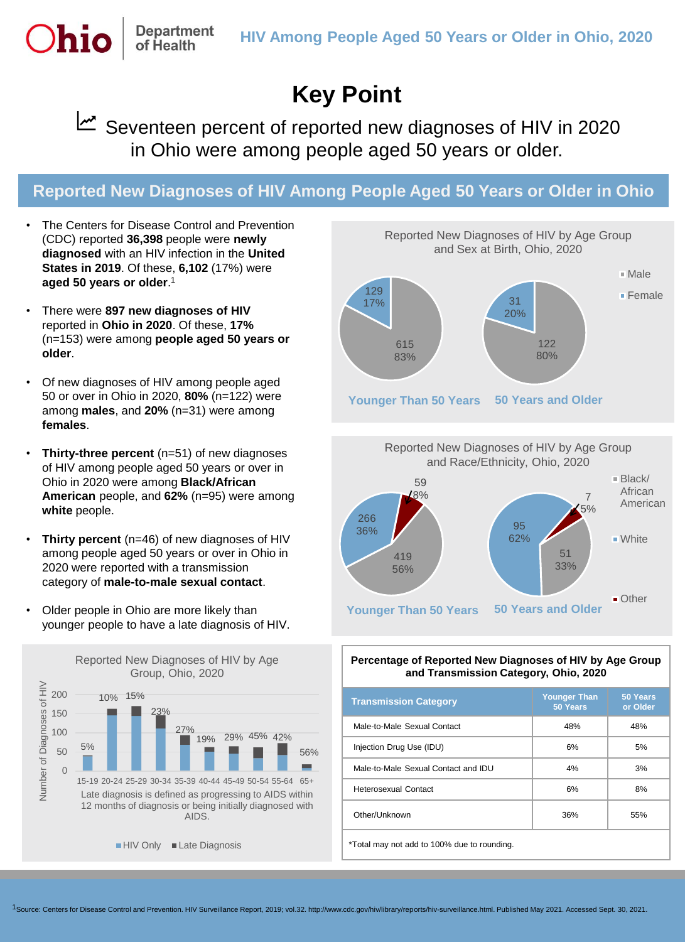# **Key Point**

Seventeen percent of reported new diagnoses of HIV in 2020 in Ohio were among people aged 50 years or older.

## **Reported New Diagnoses of HIV Among People Aged 50 Years or Older in Ohio**

The Centers for Disease Control and Prevention (CDC) reported **36,398** people were **newly diagnosed** with an HIV infection in the **United States in 2019**. Of these, **6,102** (17%) were **aged 50 years or older**. 1

**Department** of Health

- There were **897 new diagnoses of HIV**  reported in **Ohio in 2020**. Of these, **17%** (n=153) were among **people aged 50 years or older**.
- Of new diagnoses of HIV among people aged 50 or over in Ohio in 2020, **80%** (n=122) were among **males**, and **20%** (n=31) were among **females**.
- **Thirty-three percent** (n=51) of new diagnoses of HIV among people aged 50 years or over in Ohio in 2020 were among **Black/African American** people, and **62%** (n=95) were among **white** people.
- **Thirty percent** (n=46) of new diagnoses of HIV among people aged 50 years or over in Ohio in 2020 were reported with a transmission category of **male-to-male sexual contact**.
- Older people in Ohio are more likely than younger people to have a late diagnosis of HIV.







#### **Percentage of Reported New Diagnoses of HIV by Age Group and Transmission Category, Ohio, 2020**

| <b>Transmission Category</b>                | <b>Younger Than</b><br>50 Years | 50 Years<br>or Older |
|---------------------------------------------|---------------------------------|----------------------|
| Male-to-Male Sexual Contact                 | 48%                             | 48%                  |
| Injection Drug Use (IDU)                    | 6%                              | 5%                   |
| Male-to-Male Sexual Contact and IDU         | 4%                              | 3%                   |
| Heterosexual Contact                        | 6%                              | 8%                   |
| Other/Unknown                               | 36%                             | 55%                  |
| *Total may not add to 100% due to rounding. |                                 |                      |